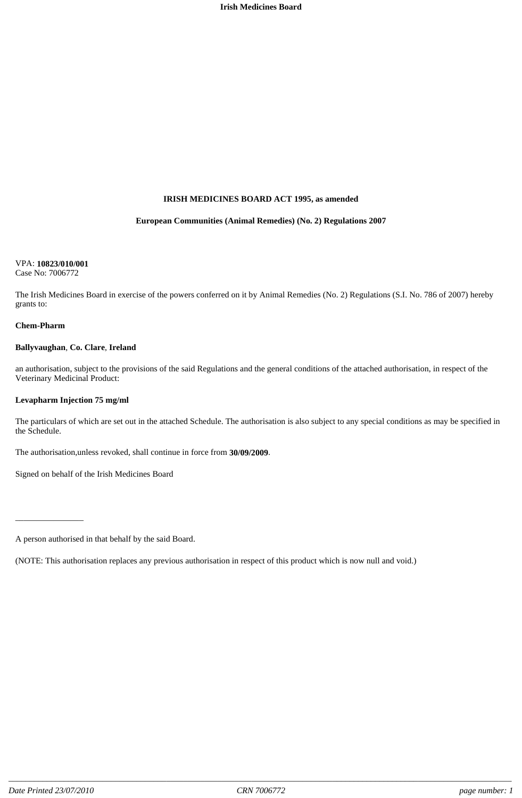#### **IRISH MEDICINES BOARD ACT 1995, as amended**

#### **European Communities (Animal Remedies) (No. 2) Regulations 2007**

#### VPA: **10823/010/001**

Case No: 7006772

The Irish Medicines Board in exercise of the powers conferred on it by Animal Remedies (No. 2) Regulations (S.I. No. 786 of 2007) hereby grants to:

#### **Chem-Pharm**

#### **Ballyvaughan**, **Co. Clare**, **Ireland**

an authorisation, subject to the provisions of the said Regulations and the general conditions of the attached authorisation, in respect of the Veterinary Medicinal Product:

#### **Levapharm Injection 75 mg/ml**

\_\_\_\_\_\_\_\_\_\_\_\_\_\_\_\_

The particulars of which are set out in the attached Schedule. The authorisation is also subject to any special conditions as may be specified in the Schedule.

The authorisation,unless revoked, shall continue in force from **30/09/2009**.

Signed on behalf of the Irish Medicines Board

(NOTE: This authorisation replaces any previous authorisation in respect of this product which is now null and void.)

A person authorised in that behalf by the said Board.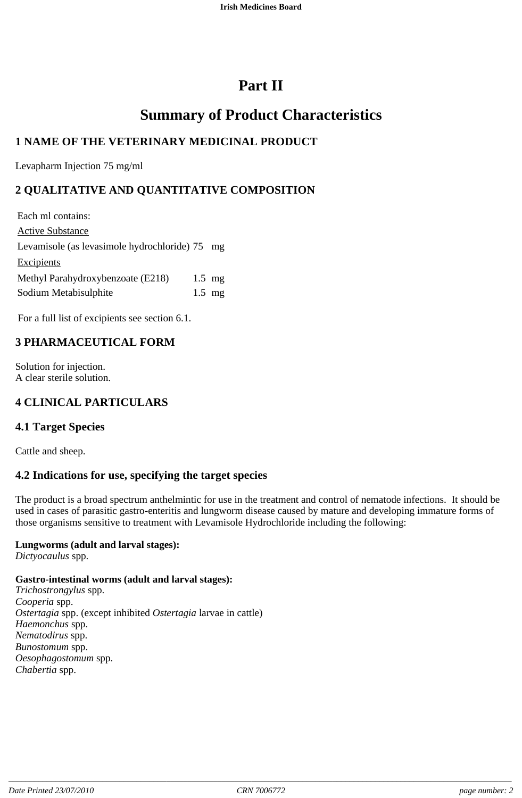# **Part II**

# **Summary of Product Characteristics**

# **1 NAME OF THE VETERINARY MEDICINAL PRODUCT**

Levapharm Injection 75 mg/ml

# **2 QUALITATIVE AND QUANTITATIVE COMPOSITION**

Each ml contains: Active Substance Levamisole (as levasimole hydrochloride) 75 mg **Excipients** Methyl Parahydroxybenzoate (E218) 1.5 mg Sodium Metabisulphite 1.5 mg

For a full list of excipients see section 6.1.

# **3 PHARMACEUTICAL FORM**

Solution for injection. A clear sterile solution.

# **4 CLINICAL PARTICULARS**

## **4.1 Target Species**

Cattle and sheep.

## **4.2 Indications for use, specifying the target species**

The product is a broad spectrum anthelmintic for use in the treatment and control of nematode infections. It should be used in cases of parasitic gastro-enteritis and lungworm disease caused by mature and developing immature forms of those organisms sensitive to treatment with Levamisole Hydrochloride including the following:

#### **Lungworms (adult and larval stages):**

*Dictyocaulus* spp.

#### **Gastro-intestinal worms (adult and larval stages):**

*Trichostrongylus* spp. *Cooperia* spp. *Ostertagia* spp. (except inhibited *Ostertagia* larvae in cattle) *Haemonchus* spp. *Nematodirus* spp. *Bunostomum* spp. *Oesophagostomum* spp. *Chabertia* spp.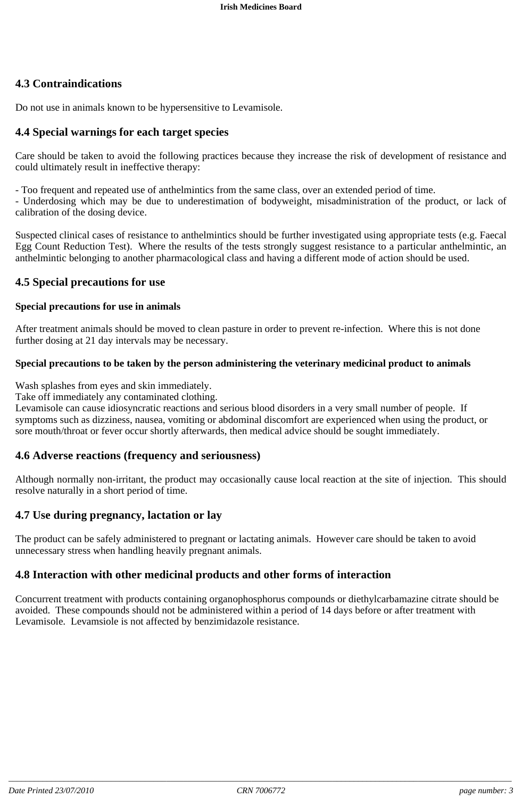## **4.3 Contraindications**

Do not use in animals known to be hypersensitive to Levamisole.

#### **4.4 Special warnings for each target species**

Care should be taken to avoid the following practices because they increase the risk of development of resistance and could ultimately result in ineffective therapy:

- Too frequent and repeated use of anthelmintics from the same class, over an extended period of time.

- Underdosing which may be due to underestimation of bodyweight, misadministration of the product, or lack of calibration of the dosing device.

Suspected clinical cases of resistance to anthelmintics should be further investigated using appropriate tests (e.g. Faecal Egg Count Reduction Test). Where the results of the tests strongly suggest resistance to a particular anthelmintic, an anthelmintic belonging to another pharmacological class and having a different mode of action should be used.

#### **4.5 Special precautions for use**

#### **Special precautions for use in animals**

After treatment animals should be moved to clean pasture in order to prevent re-infection. Where this is not done further dosing at 21 day intervals may be necessary.

#### **Special precautions to be taken by the person administering the veterinary medicinal product to animals**

Wash splashes from eyes and skin immediately.

Take off immediately any contaminated clothing.

Levamisole can cause idiosyncratic reactions and serious blood disorders in a very small number of people. If symptoms such as dizziness, nausea, vomiting or abdominal discomfort are experienced when using the product, or sore mouth/throat or fever occur shortly afterwards, then medical advice should be sought immediately.

#### **4.6 Adverse reactions (frequency and seriousness)**

Although normally non-irritant, the product may occasionally cause local reaction at the site of injection. This should resolve naturally in a short period of time.

## **4.7 Use during pregnancy, lactation or lay**

The product can be safely administered to pregnant or lactating animals. However care should be taken to avoid unnecessary stress when handling heavily pregnant animals.

#### **4.8 Interaction with other medicinal products and other forms of interaction**

Concurrent treatment with products containing organophosphorus compounds or diethylcarbamazine citrate should be avoided. These compounds should not be administered within a period of 14 days before or after treatment with Levamisole. Levamsiole is not affected by benzimidazole resistance.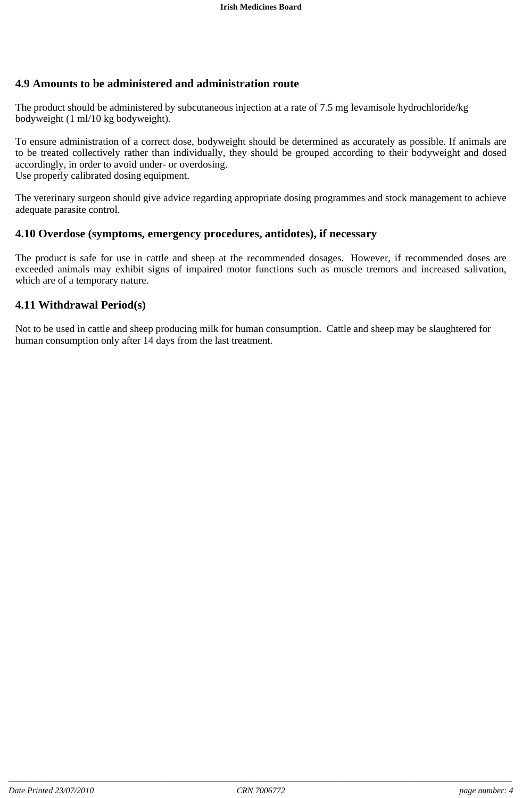## **4.9 Amounts to be administered and administration route**

The product should be administered by subcutaneous injection at a rate of 7.5 mg levamisole hydrochloride/kg bodyweight (1 ml/10 kg bodyweight).

To ensure administration of a correct dose, bodyweight should be determined as accurately as possible. If animals are to be treated collectively rather than individually, they should be grouped according to their bodyweight and dosed accordingly, in order to avoid under- or overdosing.

Use properly calibrated dosing equipment.

The veterinary surgeon should give advice regarding appropriate dosing programmes and stock management to achieve adequate parasite control.

#### **4.10 Overdose (symptoms, emergency procedures, antidotes), if necessary**

The product is safe for use in cattle and sheep at the recommended dosages. However, if recommended doses are exceeded animals may exhibit signs of impaired motor functions such as muscle tremors and increased salivation, which are of a temporary nature.

#### **4.11 Withdrawal Period(s)**

Not to be used in cattle and sheep producing milk for human consumption. Cattle and sheep may be slaughtered for human consumption only after 14 days from the last treatment.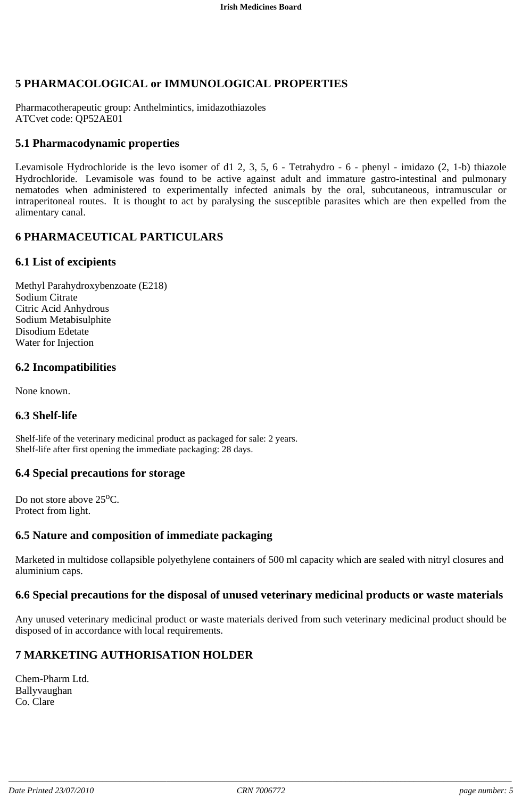## **5 PHARMACOLOGICAL or IMMUNOLOGICAL PROPERTIES**

Pharmacotherapeutic group: Anthelmintics, imidazothiazoles ATCvet code: QP52AE01

#### **5.1 Pharmacodynamic properties**

Levamisole Hydrochloride is the levo isomer of d1 2, 3, 5, 6 - Tetrahydro - 6 - phenyl - imidazo (2, 1-b) thiazole Hydrochloride. Levamisole was found to be active against adult and immature gastro-intestinal and pulmonary nematodes when administered to experimentally infected animals by the oral, subcutaneous, intramuscular or intraperitoneal routes. It is thought to act by paralysing the susceptible parasites which are then expelled from the alimentary canal.

#### **6 PHARMACEUTICAL PARTICULARS**

#### **6.1 List of excipients**

Methyl Parahydroxybenzoate (E218) Sodium Citrate Citric Acid Anhydrous Sodium Metabisulphite Disodium Edetate Water for Injection

#### **6.2 Incompatibilities**

None known.

#### **6.3 Shelf-life**

Shelf-life of the veterinary medicinal product as packaged for sale: 2 years. Shelf-life after first opening the immediate packaging: 28 days.

#### **6.4 Special precautions for storage**

Do not store above  $25^{\circ}$ C. Protect from light.

#### **6.5 Nature and composition of immediate packaging**

Marketed in multidose collapsible polyethylene containers of 500 ml capacity which are sealed with nitryl closures and aluminium caps.

#### **6.6 Special precautions for the disposal of unused veterinary medicinal products or waste materials**

Any unused veterinary medicinal product or waste materials derived from such veterinary medicinal product should be disposed of in accordance with local requirements.

## **7 MARKETING AUTHORISATION HOLDER**

Chem-Pharm Ltd. Ballyvaughan Co. Clare